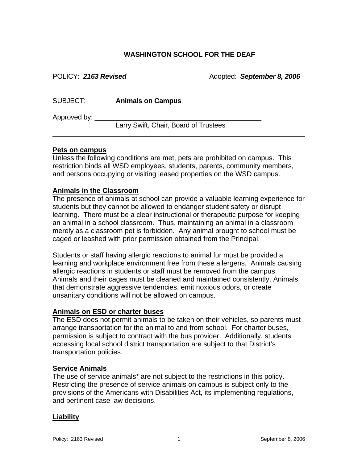# **WASHINGTON SCHOOL FOR THE DEAF**

| POLICY: 2163 Revised |                                       | Adopted: September 8, 2006 |
|----------------------|---------------------------------------|----------------------------|
| SUBJECT:             | <b>Animals on Campus</b>              |                            |
| Approved by:         | Larry Swift, Chair, Board of Trustees |                            |

#### **Pets on campus**

Unless the following conditions are met, pets are prohibited on campus. This restriction binds all WSD employees, students, parents, community members, and persons occupying or visiting leased properties on the WSD campus.

#### **Animals in the Classroom**

The presence of animals at school can provide a valuable learning experience for students but they cannot be allowed to endanger student safety or disrupt learning. There must be a clear instructional or therapeutic purpose for keeping an animal in a school classroom. Thus, maintaining an animal in a classroom merely as a classroom pet is forbidden. Any animal brought to school must be caged or leashed with prior permission obtained from the Principal.

Students or staff having allergic reactions to animal fur must be provided a learning and workplace environment free from these allergens. Animals causing allergic reactions in students or staff must be removed from the campus. Animals and their cages must be cleaned and maintained consistently. Animals that demonstrate aggressive tendencies, emit noxious odors, or create unsanitary conditions will not be allowed on campus.

#### **Animals on ESD or charter buses**

The ESD does not permit animals to be taken on their vehicles, so parents must arrange transportation for the animal to and from school. For charter buses, permission is subject to contract with the bus provider. Additionally, students accessing local school district transportation are subject to that District's transportation policies.

#### **Service Animals**

The use of service animals\* are not subject to the restrictions in this policy. Restricting the presence of service animals on campus is subject only to the provisions of the Americans with Disabilities Act, its implementing regulations, and pertinent case law decisions.

#### **Liability**